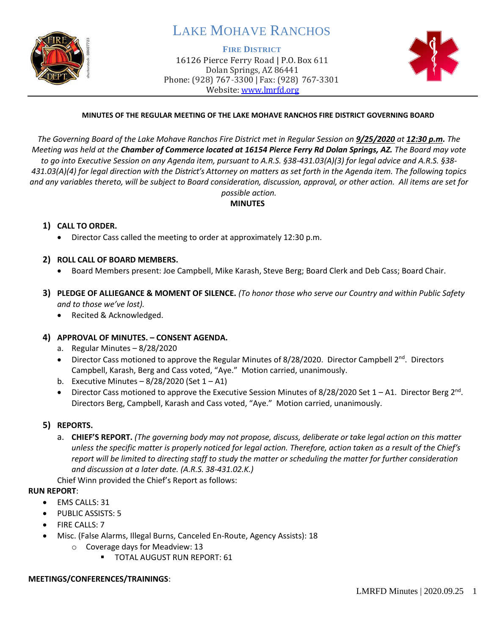

# LAKE MOHAVE RANCHOS

#### **FIRE DISTRICT**

16126 Pierce Ferry Road | P.O. Box 611 Dolan Springs, AZ 86441 Phone: (928) 767-3300 | Fax: (928) 767-3301 Website: [www.lmrfd.org](http://www.lmrfd.org/)



#### **MINUTES OF THE REGULAR MEETING OF THE LAKE MOHAVE RANCHOS FIRE DISTRICT GOVERNING BOARD**

*The Governing Board of the Lake Mohave Ranchos Fire District met in Regular Session on 9/25/2020 at 12:30 p.m. The Meeting was held at the Chamber of Commerce located at 16154 Pierce Ferry Rd Dolan Springs, AZ. The Board may vote to go into Executive Session on any Agenda item, pursuant to A.R.S. §38-431.03(A)(3) for legal advice and A.R.S. §38- 431.03(A)(4) for legal direction with the District's Attorney on matters as set forth in the Agenda item. The following topics and any variables thereto, will be subject to Board consideration, discussion, approval, or other action. All items are set for possible action.*

#### **MINUTES**

#### **1) CALL TO ORDER.**

• Director Cass called the meeting to order at approximately 12:30 p.m.

#### **2) ROLL CALL OF BOARD MEMBERS.**

- Board Members present: Joe Campbell, Mike Karash, Steve Berg; Board Clerk and Deb Cass; Board Chair.
- **3) PLEDGE OF ALLIEGANCE & MOMENT OF SILENCE.** *(To honor those who serve our Country and within Public Safety and to those we've lost).*
	- Recited & Acknowledged.

#### **4) APPROVAL OF MINUTES. – CONSENT AGENDA.**

- a. Regular Minutes 8/28/2020
- Director Cass motioned to approve the Regular Minutes of 8/28/2020. Director Campbell  $2^{nd}$ . Directors Campbell, Karash, Berg and Cass voted, "Aye." Motion carried, unanimously.
- b. Executive Minutes  $-8/28/2020$  (Set  $1 A1$ )
- Director Cass motioned to approve the Executive Session Minutes of 8/28/2020 Set  $1 A1$ . Director Berg  $2^{nd}$ . Directors Berg, Campbell, Karash and Cass voted, "Aye." Motion carried, unanimously.

#### **5) REPORTS.**

a. **CHIEF'S REPORT.** *(The governing body may not propose, discuss, deliberate or take legal action on this matter unless the specific matter is properly noticed for legal action. Therefore, action taken as a result of the Chief's report will be limited to directing staff to study the matter or scheduling the matter for further consideration and discussion at a later date. (A.R.S. 38-431.02.K.)*

Chief Winn provided the Chief's Report as follows:

#### **RUN REPORT**:

- EMS CALLS: 31
- PUBLIC ASSISTS: 5
- FIRE CALLS: 7
- Misc. (False Alarms, Illegal Burns, Canceled En-Route, Agency Assists): 18
	- o Coverage days for Meadview: 13
		- **TOTAL AUGUST RUN REPORT: 61**

#### **MEETINGS/CONFERENCES/TRAININGS**: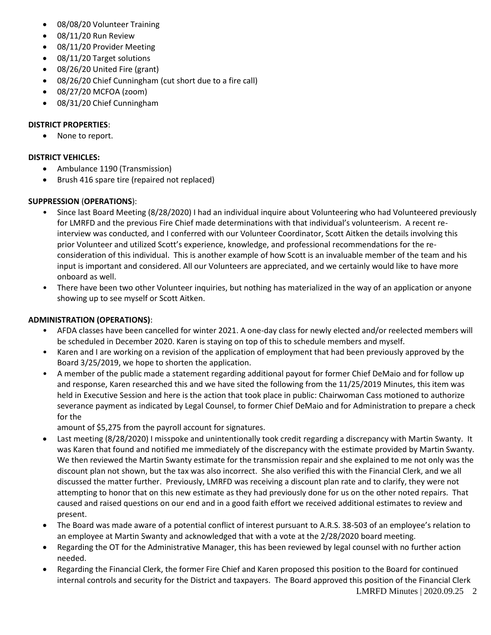- 08/08/20 Volunteer Training
- 08/11/20 Run Review
- 08/11/20 Provider Meeting
- 08/11/20 Target solutions
- 08/26/20 United Fire (grant)
- 08/26/20 Chief Cunningham (cut short due to a fire call)
- 08/27/20 MCFOA (zoom)
- 08/31/20 Chief Cunningham

## **DISTRICT PROPERTIES**:

• None to report.

### **DISTRICT VEHICLES:**

- Ambulance 1190 (Transmission)
- Brush 416 spare tire (repaired not replaced)

### **SUPPRESSION** (**OPERATIONS**):

- Since last Board Meeting (8/28/2020) I had an individual inquire about Volunteering who had Volunteered previously for LMRFD and the previous Fire Chief made determinations with that individual's volunteerism. A recent reinterview was conducted, and I conferred with our Volunteer Coordinator, Scott Aitken the details involving this prior Volunteer and utilized Scott's experience, knowledge, and professional recommendations for the reconsideration of this individual. This is another example of how Scott is an invaluable member of the team and his input is important and considered. All our Volunteers are appreciated, and we certainly would like to have more onboard as well.
- There have been two other Volunteer inquiries, but nothing has materialized in the way of an application or anyone showing up to see myself or Scott Aitken.

## **ADMINISTRATION (OPERATIONS)**:

- AFDA classes have been cancelled for winter 2021. A one-day class for newly elected and/or reelected members will be scheduled in December 2020. Karen is staying on top of this to schedule members and myself.
- Karen and I are working on a revision of the application of employment that had been previously approved by the Board 3/25/2019, we hope to shorten the application.
- A member of the public made a statement regarding additional payout for former Chief DeMaio and for follow up and response, Karen researched this and we have sited the following from the 11/25/2019 Minutes, this item was held in Executive Session and here is the action that took place in public: Chairwoman Cass motioned to authorize severance payment as indicated by Legal Counsel, to former Chief DeMaio and for Administration to prepare a check for the

amount of \$5,275 from the payroll account for signatures.

- Last meeting (8/28/2020) I misspoke and unintentionally took credit regarding a discrepancy with Martin Swanty. It was Karen that found and notified me immediately of the discrepancy with the estimate provided by Martin Swanty. We then reviewed the Martin Swanty estimate for the transmission repair and she explained to me not only was the discount plan not shown, but the tax was also incorrect. She also verified this with the Financial Clerk, and we all discussed the matter further. Previously, LMRFD was receiving a discount plan rate and to clarify, they were not attempting to honor that on this new estimate as they had previously done for us on the other noted repairs. That caused and raised questions on our end and in a good faith effort we received additional estimates to review and present.
- The Board was made aware of a potential conflict of interest pursuant to A.R.S. 38-503 of an employee's relation to an employee at Martin Swanty and acknowledged that with a vote at the 2/28/2020 board meeting.
- Regarding the OT for the Administrative Manager, this has been reviewed by legal counsel with no further action needed.
- Regarding the Financial Clerk, the former Fire Chief and Karen proposed this position to the Board for continued internal controls and security for the District and taxpayers. The Board approved this position of the Financial Clerk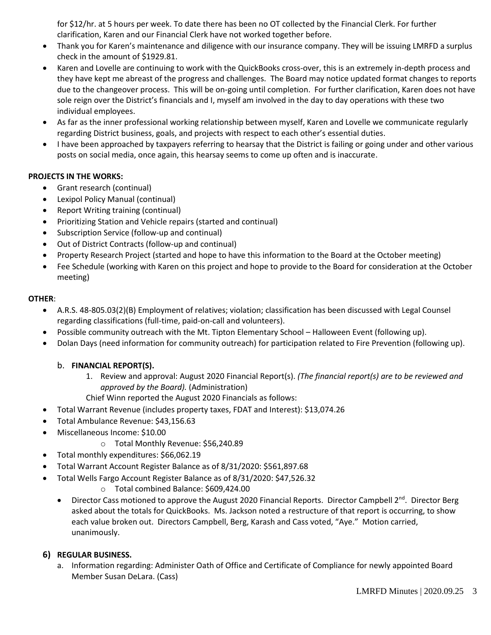for \$12/hr. at 5 hours per week. To date there has been no OT collected by the Financial Clerk. For further clarification, Karen and our Financial Clerk have not worked together before.

- Thank you for Karen's maintenance and diligence with our insurance company. They will be issuing LMRFD a surplus check in the amount of \$1929.81.
- Karen and Lovelle are continuing to work with the QuickBooks cross-over, this is an extremely in-depth process and they have kept me abreast of the progress and challenges. The Board may notice updated format changes to reports due to the changeover process. This will be on-going until completion. For further clarification, Karen does not have sole reign over the District's financials and I, myself am involved in the day to day operations with these two individual employees.
- As far as the inner professional working relationship between myself, Karen and Lovelle we communicate regularly regarding District business, goals, and projects with respect to each other's essential duties.
- I have been approached by taxpayers referring to hearsay that the District is failing or going under and other various posts on social media, once again, this hearsay seems to come up often and is inaccurate.

### **PROJECTS IN THE WORKS:**

- Grant research (continual)
- Lexipol Policy Manual (continual)
- Report Writing training (continual)
- Prioritizing Station and Vehicle repairs (started and continual)
- Subscription Service (follow-up and continual)
- Out of District Contracts (follow-up and continual)
- Property Research Project (started and hope to have this information to the Board at the October meeting)
- Fee Schedule (working with Karen on this project and hope to provide to the Board for consideration at the October meeting)

#### **OTHER**:

- A.R.S. 48-805.03(2)(B) Employment of relatives; violation; classification has been discussed with Legal Counsel regarding classifications (full-time, paid-on-call and volunteers).
- Possible community outreach with the Mt. Tipton Elementary School Halloween Event (following up).
- Dolan Days (need information for community outreach) for participation related to Fire Prevention (following up).

## b. **FINANCIAL REPORT(S).**

- 1. Review and approval: August 2020 Financial Report(s). *(The financial report(s) are to be reviewed and approved by the Board).* (Administration)
- Chief Winn reported the August 2020 Financials as follows:
- Total Warrant Revenue (includes property taxes, FDAT and Interest): \$13,074.26
- Total Ambulance Revenue: \$43,156.63
- Miscellaneous Income: \$10.00
	- o Total Monthly Revenue: \$56,240.89
- Total monthly expenditures: \$66,062.19
- Total Warrant Account Register Balance as of 8/31/2020: \$561,897.68
- Total Wells Fargo Account Register Balance as of 8/31/2020: \$47,526.32
	- o Total combined Balance: \$609,424.00
	- Director Cass motioned to approve the August 2020 Financial Reports. Director Campbell 2<sup>nd</sup>. Director Berg asked about the totals for QuickBooks. Ms. Jackson noted a restructure of that report is occurring, to show each value broken out. Directors Campbell, Berg, Karash and Cass voted, "Aye." Motion carried, unanimously.

#### **6) REGULAR BUSINESS.**

a. Information regarding: Administer Oath of Office and Certificate of Compliance for newly appointed Board Member Susan DeLara. (Cass)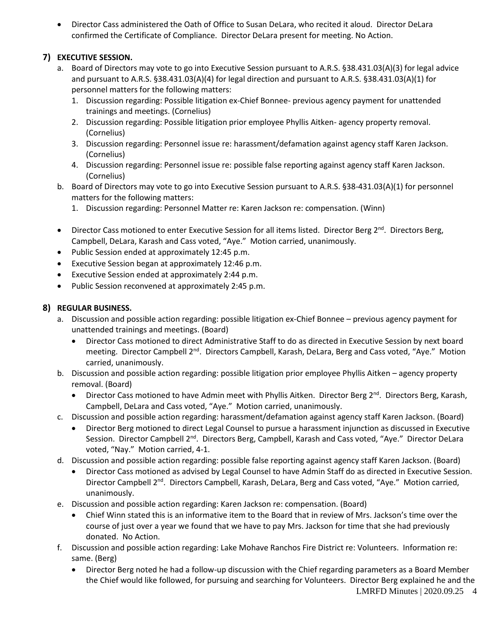• Director Cass administered the Oath of Office to Susan DeLara, who recited it aloud. Director DeLara confirmed the Certificate of Compliance. Director DeLara present for meeting. No Action.

# **7) EXECUTIVE SESSION.**

- a. Board of Directors may vote to go into Executive Session pursuant to A.R.S. §38.431.03(A)(3) for legal advice and pursuant to A.R.S. §38.431.03(A)(4) for legal direction and pursuant to A.R.S. §38.431.03(A)(1) for personnel matters for the following matters:
	- 1. Discussion regarding: Possible litigation ex-Chief Bonnee- previous agency payment for unattended trainings and meetings. (Cornelius)
	- 2. Discussion regarding: Possible litigation prior employee Phyllis Aitken- agency property removal. (Cornelius)
	- 3. Discussion regarding: Personnel issue re: harassment/defamation against agency staff Karen Jackson. (Cornelius)
	- 4. Discussion regarding: Personnel issue re: possible false reporting against agency staff Karen Jackson. (Cornelius)
- b. Board of Directors may vote to go into Executive Session pursuant to A.R.S. §38-431.03(A)(1) for personnel matters for the following matters:
	- 1. Discussion regarding: Personnel Matter re: Karen Jackson re: compensation. (Winn)
- Director Cass motioned to enter Executive Session for all items listed. Director Berg 2<sup>nd</sup>. Directors Berg, Campbell, DeLara, Karash and Cass voted, "Aye." Motion carried, unanimously.
- Public Session ended at approximately 12:45 p.m.
- Executive Session began at approximately 12:46 p.m.
- Executive Session ended at approximately 2:44 p.m.
- Public Session reconvened at approximately 2:45 p.m.

## **8) REGULAR BUSINESS.**

- a. Discussion and possible action regarding: possible litigation ex-Chief Bonnee previous agency payment for unattended trainings and meetings. (Board)
	- Director Cass motioned to direct Administrative Staff to do as directed in Executive Session by next board meeting. Director Campbell 2<sup>nd</sup>. Directors Campbell, Karash, DeLara, Berg and Cass voted, "Aye." Motion carried, unanimously.
- b. Discussion and possible action regarding: possible litigation prior employee Phyllis Aitken agency property removal. (Board)
	- Director Cass motioned to have Admin meet with Phyllis Aitken. Director Berg 2<sup>nd</sup>. Directors Berg, Karash, Campbell, DeLara and Cass voted, "Aye." Motion carried, unanimously.
- c. Discussion and possible action regarding: harassment/defamation against agency staff Karen Jackson. (Board)
	- Director Berg motioned to direct Legal Counsel to pursue a harassment injunction as discussed in Executive Session. Director Campbell 2<sup>nd</sup>. Directors Berg, Campbell, Karash and Cass voted, "Aye." Director DeLara voted, "Nay." Motion carried, 4-1.
- d. Discussion and possible action regarding: possible false reporting against agency staff Karen Jackson. (Board)
	- Director Cass motioned as advised by Legal Counsel to have Admin Staff do as directed in Executive Session. Director Campbell 2<sup>nd</sup>. Directors Campbell, Karash, DeLara, Berg and Cass voted, "Aye." Motion carried, unanimously.
- e. Discussion and possible action regarding: Karen Jackson re: compensation. (Board)
	- Chief Winn stated this is an informative item to the Board that in review of Mrs. Jackson's time over the course of just over a year we found that we have to pay Mrs. Jackson for time that she had previously donated. No Action.
- f. Discussion and possible action regarding: Lake Mohave Ranchos Fire District re: Volunteers. Information re: same. (Berg)
	- Director Berg noted he had a follow-up discussion with the Chief regarding parameters as a Board Member the Chief would like followed, for pursuing and searching for Volunteers. Director Berg explained he and the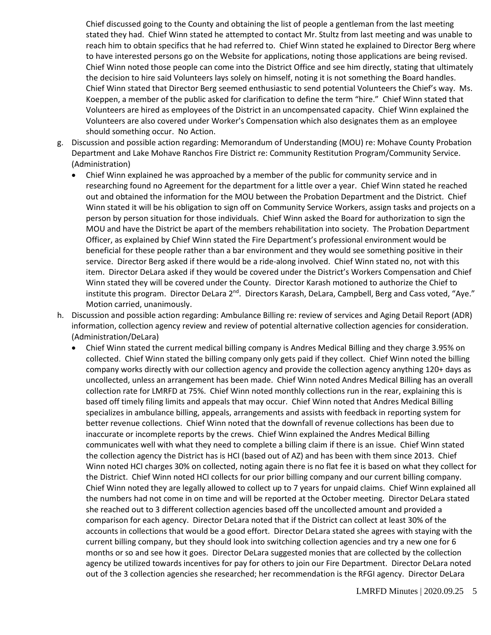Chief discussed going to the County and obtaining the list of people a gentleman from the last meeting stated they had. Chief Winn stated he attempted to contact Mr. Stultz from last meeting and was unable to reach him to obtain specifics that he had referred to. Chief Winn stated he explained to Director Berg where to have interested persons go on the Website for applications, noting those applications are being revised. Chief Winn noted those people can come into the District Office and see him directly, stating that ultimately the decision to hire said Volunteers lays solely on himself, noting it is not something the Board handles. Chief Winn stated that Director Berg seemed enthusiastic to send potential Volunteers the Chief's way. Ms. Koeppen, a member of the public asked for clarification to define the term "hire." Chief Winn stated that Volunteers are hired as employees of the District in an uncompensated capacity. Chief Winn explained the Volunteers are also covered under Worker's Compensation which also designates them as an employee should something occur. No Action.

- g. Discussion and possible action regarding: Memorandum of Understanding (MOU) re: Mohave County Probation Department and Lake Mohave Ranchos Fire District re: Community Restitution Program/Community Service. (Administration)
	- Chief Winn explained he was approached by a member of the public for community service and in researching found no Agreement for the department for a little over a year. Chief Winn stated he reached out and obtained the information for the MOU between the Probation Department and the District. Chief Winn stated it will be his obligation to sign off on Community Service Workers, assign tasks and projects on a person by person situation for those individuals. Chief Winn asked the Board for authorization to sign the MOU and have the District be apart of the members rehabilitation into society. The Probation Department Officer, as explained by Chief Winn stated the Fire Department's professional environment would be beneficial for these people rather than a bar environment and they would see something positive in their service. Director Berg asked if there would be a ride-along involved. Chief Winn stated no, not with this item. Director DeLara asked if they would be covered under the District's Workers Compensation and Chief Winn stated they will be covered under the County. Director Karash motioned to authorize the Chief to institute this program. Director DeLara 2<sup>nd</sup>. Directors Karash, DeLara, Campbell, Berg and Cass voted, "Aye." Motion carried, unanimously.
- h. Discussion and possible action regarding: Ambulance Billing re: review of services and Aging Detail Report (ADR) information, collection agency review and review of potential alternative collection agencies for consideration. (Administration/DeLara)
	- Chief Winn stated the current medical billing company is Andres Medical Billing and they charge 3.95% on collected. Chief Winn stated the billing company only gets paid if they collect. Chief Winn noted the billing company works directly with our collection agency and provide the collection agency anything 120+ days as uncollected, unless an arrangement has been made. Chief Winn noted Andres Medical Billing has an overall collection rate for LMRFD at 75%. Chief Winn noted monthly collections run in the rear, explaining this is based off timely filing limits and appeals that may occur. Chief Winn noted that Andres Medical Billing specializes in ambulance billing, appeals, arrangements and assists with feedback in reporting system for better revenue collections. Chief Winn noted that the downfall of revenue collections has been due to inaccurate or incomplete reports by the crews. Chief Winn explained the Andres Medical Billing communicates well with what they need to complete a billing claim if there is an issue. Chief Winn stated the collection agency the District has is HCI (based out of AZ) and has been with them since 2013. Chief Winn noted HCI charges 30% on collected, noting again there is no flat fee it is based on what they collect for the District. Chief Winn noted HCI collects for our prior billing company and our current billing company. Chief Winn noted they are legally allowed to collect up to 7 years for unpaid claims. Chief Winn explained all the numbers had not come in on time and will be reported at the October meeting. Director DeLara stated she reached out to 3 different collection agencies based off the uncollected amount and provided a comparison for each agency. Director DeLara noted that if the District can collect at least 30% of the accounts in collections that would be a good effort. Director DeLara stated she agrees with staying with the current billing company, but they should look into switching collection agencies and try a new one for 6 months or so and see how it goes. Director DeLara suggested monies that are collected by the collection agency be utilized towards incentives for pay for others to join our Fire Department. Director DeLara noted out of the 3 collection agencies she researched; her recommendation is the RFGI agency. Director DeLara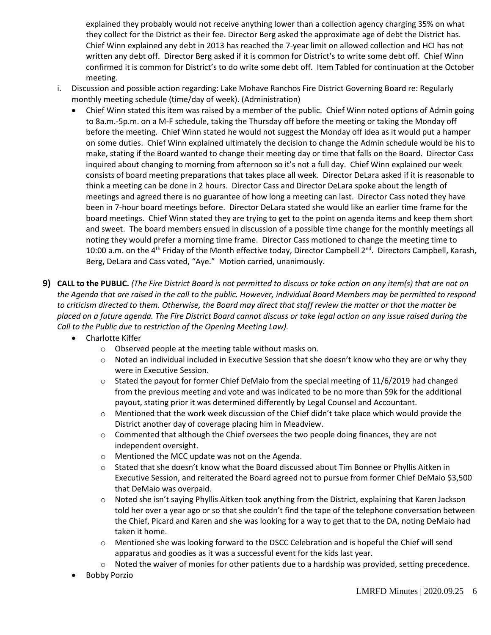explained they probably would not receive anything lower than a collection agency charging 35% on what they collect for the District as their fee. Director Berg asked the approximate age of debt the District has. Chief Winn explained any debt in 2013 has reached the 7-year limit on allowed collection and HCI has not written any debt off. Director Berg asked if it is common for District's to write some debt off. Chief Winn confirmed it is common for District's to do write some debt off. Item Tabled for continuation at the October meeting.

- i. Discussion and possible action regarding: Lake Mohave Ranchos Fire District Governing Board re: Regularly monthly meeting schedule (time/day of week). (Administration)
	- Chief Winn stated this item was raised by a member of the public. Chief Winn noted options of Admin going to 8a.m.-5p.m. on a M-F schedule, taking the Thursday off before the meeting or taking the Monday off before the meeting. Chief Winn stated he would not suggest the Monday off idea as it would put a hamper on some duties. Chief Winn explained ultimately the decision to change the Admin schedule would be his to make, stating if the Board wanted to change their meeting day or time that falls on the Board. Director Cass inquired about changing to morning from afternoon so it's not a full day. Chief Winn explained our week consists of board meeting preparations that takes place all week. Director DeLara asked if it is reasonable to think a meeting can be done in 2 hours. Director Cass and Director DeLara spoke about the length of meetings and agreed there is no guarantee of how long a meeting can last. Director Cass noted they have been in 7-hour board meetings before. Director DeLara stated she would like an earlier time frame for the board meetings. Chief Winn stated they are trying to get to the point on agenda items and keep them short and sweet. The board members ensued in discussion of a possible time change for the monthly meetings all noting they would prefer a morning time frame. Director Cass motioned to change the meeting time to 10:00 a.m. on the 4<sup>th</sup> Friday of the Month effective today, Director Campbell 2<sup>nd</sup>. Directors Campbell, Karash, Berg, DeLara and Cass voted, "Aye." Motion carried, unanimously.
- **9) CALL to the PUBLIC.** *(The Fire District Board is not permitted to discuss or take action on any item(s) that are not on the Agenda that are raised in the call to the public. However, individual Board Members may be permitted to respond to criticism directed to them. Otherwise, the Board may direct that staff review the matter or that the matter be placed on a future agenda. The Fire District Board cannot discuss or take legal action on any issue raised during the Call to the Public due to restriction of the Opening Meeting Law).*
	- Charlotte Kiffer
		- o Observed people at the meeting table without masks on.
		- o Noted an individual included in Executive Session that she doesn't know who they are or why they were in Executive Session.
		- $\circ$  Stated the payout for former Chief DeMaio from the special meeting of 11/6/2019 had changed from the previous meeting and vote and was indicated to be no more than \$9k for the additional payout, stating prior it was determined differently by Legal Counsel and Accountant.
		- o Mentioned that the work week discussion of the Chief didn't take place which would provide the District another day of coverage placing him in Meadview.
		- $\circ$  Commented that although the Chief oversees the two people doing finances, they are not independent oversight.
		- o Mentioned the MCC update was not on the Agenda.
		- $\circ$  Stated that she doesn't know what the Board discussed about Tim Bonnee or Phyllis Aitken in Executive Session, and reiterated the Board agreed not to pursue from former Chief DeMaio \$3,500 that DeMaio was overpaid.
		- o Noted she isn't saying Phyllis Aitken took anything from the District, explaining that Karen Jackson told her over a year ago or so that she couldn't find the tape of the telephone conversation between the Chief, Picard and Karen and she was looking for a way to get that to the DA, noting DeMaio had taken it home.
		- o Mentioned she was looking forward to the DSCC Celebration and is hopeful the Chief will send apparatus and goodies as it was a successful event for the kids last year.
		- o Noted the waiver of monies for other patients due to a hardship was provided, setting precedence.
	- Bobby Porzio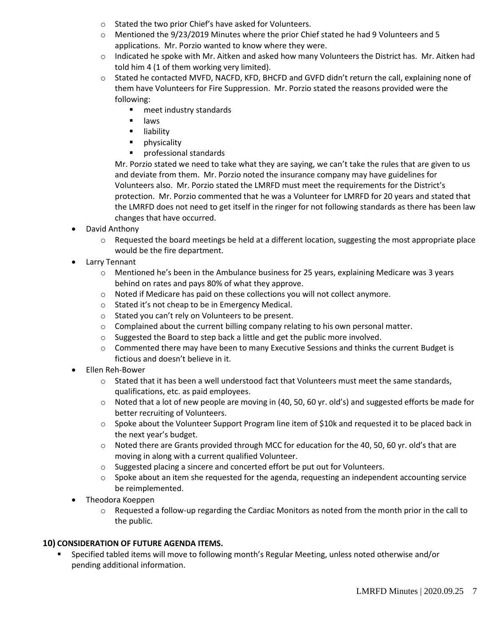- o Stated the two prior Chief's have asked for Volunteers.
- o Mentioned the 9/23/2019 Minutes where the prior Chief stated he had 9 Volunteers and 5 applications. Mr. Porzio wanted to know where they were.
- o Indicated he spoke with Mr. Aitken and asked how many Volunteers the District has. Mr. Aitken had told him 4 (1 of them working very limited).
- o Stated he contacted MVFD, NACFD, KFD, BHCFD and GVFD didn't return the call, explaining none of them have Volunteers for Fire Suppression. Mr. Porzio stated the reasons provided were the following:
	- meet industry standards
	- laws
	- liability
	- physicality
	- professional standards

Mr. Porzio stated we need to take what they are saying, we can't take the rules that are given to us and deviate from them. Mr. Porzio noted the insurance company may have guidelines for Volunteers also. Mr. Porzio stated the LMRFD must meet the requirements for the District's protection. Mr. Porzio commented that he was a Volunteer for LMRFD for 20 years and stated that the LMRFD does not need to get itself in the ringer for not following standards as there has been law changes that have occurred.

- David Anthony
	- $\circ$  Requested the board meetings be held at a different location, suggesting the most appropriate place would be the fire department.
- Larry Tennant
	- o Mentioned he's been in the Ambulance business for 25 years, explaining Medicare was 3 years behind on rates and pays 80% of what they approve.
	- o Noted if Medicare has paid on these collections you will not collect anymore.
	- o Stated it's not cheap to be in Emergency Medical.
	- o Stated you can't rely on Volunteers to be present.
	- $\circ$  Complained about the current billing company relating to his own personal matter.
	- o Suggested the Board to step back a little and get the public more involved.
	- o Commented there may have been to many Executive Sessions and thinks the current Budget is fictious and doesn't believe in it.
- Ellen Reh-Bower
	- o Stated that it has been a well understood fact that Volunteers must meet the same standards, qualifications, etc. as paid employees.
	- o Noted that a lot of new people are moving in (40, 50, 60 yr. old's) and suggested efforts be made for better recruiting of Volunteers.
	- o Spoke about the Volunteer Support Program line item of \$10k and requested it to be placed back in the next year's budget.
	- o Noted there are Grants provided through MCC for education for the 40, 50, 60 yr. old's that are moving in along with a current qualified Volunteer.
	- o Suggested placing a sincere and concerted effort be put out for Volunteers.
	- $\circ$  Spoke about an item she requested for the agenda, requesting an independent accounting service be reimplemented.
- Theodora Koeppen
	- o Requested a follow-up regarding the Cardiac Monitors as noted from the month prior in the call to the public.

## **10) CONSIDERATION OF FUTURE AGENDA ITEMS.**

Specified tabled items will move to following month's Regular Meeting, unless noted otherwise and/or pending additional information.